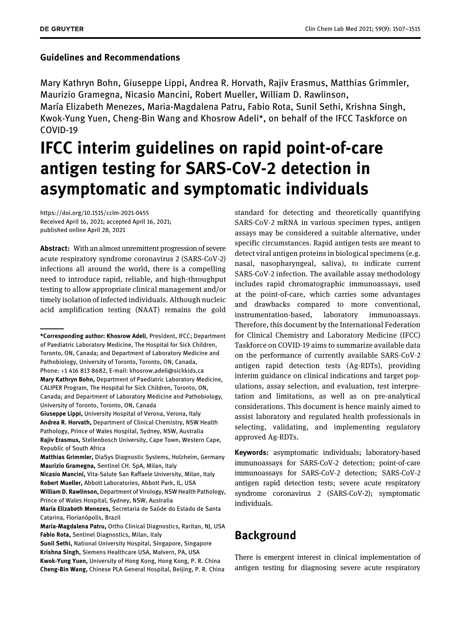## Guidelines and Recommendations

Mary Kathryn Bohn, Giuseppe Lippi, Andrea R. Horvath, Rajiv Erasmus, Matthias Grimmler, Maurizio Gramegna, Nicasio Mancini, Robert Mueller, William D. Rawlinson,

María Elizabeth Menezes, Maria-Magdalena Patru, Fabio Rota, Sunil Sethi, Krishna Singh, Kwok-Yung Yuen, Cheng-Bin Wang and Khosrow Adeli\*, on behalf of the IFCC Taskforce on COVID-19

# IFCC interim guidelines on rapid point-of-care antigen testing for SARS-CoV-2 detection in asymptomatic and symptomatic individuals

<https://doi.org/10.1515/cclm-2021-0455> Received April 16, 2021; accepted April 16, 2021; published online April 28, 2021

Abstract: With an almost unremittent progression of severe acute respiratory syndrome coronavirus 2 (SARS-CoV-2) infections all around the world, there is a compelling need to introduce rapid, reliable, and high-throughput testing to allow appropriate clinical management and/or timely isolation of infected individuals. Although nucleic acid amplification testing (NAAT) remains the gold

Giuseppe Lippi, University Hospital of Verona, Verona, Italy Andrea R. Horvath, Department of Clinical Chemistry, NSW Health Pathology, Prince of Wales Hospital, Sydney, NSW, Australia Rajiv Erasmus, Stellenbosch University, Cape Town, Western Cape, Republic of South Africa

Matthias Grimmler, DiaSys Diagnostic Systems, Holzheim, Germany Maurizio Gramegna, Sentinel CH. SpA, Milan, Italy

Nicasio Mancini, Vita-Salute San Raffaele University, Milan, Italy Robert Mueller, Abbott Laboratories, Abbott Park, IL, USA William D. Rawlinson, Department of Virology, NSW Health Pathology,

Prince of Wales Hospital, Sydney, NSW, Australia

María Elizabeth Menezes, Secretaria de Saúde do Estado de Santa Catarina, Florianópolis, Brazil

Maria-Magdalena Patru, Ortho Clinical Diagnostics, Raritan, NJ, USA Fabio Rota, Sentinel Diagnostics, Milan, Italy

standard for detecting and theoretically quantifying SARS-CoV-2 mRNA in various specimen types, antigen assays may be considered a suitable alternative, under specific circumstances. Rapid antigen tests are meant to detect viral antigen proteins in biological specimens (e.g. nasal, nasopharyngeal, saliva), to indicate current SARS-CoV-2 infection. The available assay methodology includes rapid chromatographic immunoassays, used at the point-of-care, which carries some advantages and drawbacks compared to more conventional, instrumentation-based, laboratory immunoassays. Therefore, this document by the International Federation for Clinical Chemistry and Laboratory Medicine (IFCC) Taskforce on COVID-19 aims to summarize available data on the performance of currently available SARS-CoV-2 antigen rapid detection tests (Ag-RDTs), providing interim guidance on clinical indications and target populations, assay selection, and evaluation, test interpretation and limitations, as well as on pre-analytical considerations. This document is hence mainly aimed to assist laboratory and regulated health professionals in selecting, validating, and implementing regulatory approved Ag-RDTs.

Keywords: asymptomatic individuals; laboratory-based immunoassays for SARS-CoV-2 detection; point-of-care immunoassays for SARS-CoV-2 detection; SARS-CoV-2 antigen rapid detection tests; severe acute respiratory syndrome coronavirus 2 (SARS-CoV-2); symptomatic individuals.

## <span id="page-0-0"></span>**Background**

There is emergent interest in clinical implementation of antigen testing for diagnosing severe acute respiratory

<sup>\*</sup>Corresponding author: Khosrow Adeli, President, IFCC; Department of Paediatric Laboratory Medicine, The Hospital for Sick Children, Toronto, ON, Canada; and Department of Laboratory Medicine and Pathobiology, University of Toronto, Toronto, ON, Canada, Phone: +1 416 813 8682, E-mail: [khosrow.adeli@sickkids.ca](mailto:khosrow.adeli@sickkids.ca) Mary Kathryn Bohn, Department of Paediatric Laboratory Medicine, CALIPER Program, The Hospital for Sick Children, Toronto, ON, Canada; and Department of Laboratory Medicine and Pathobiology, University of Toronto, Toronto, ON, Canada

Sunil Sethi, National University Hospital, Singapore, Singapore Krishna Singh, Siemens Healthcare USA, Malvern, PA, USA Kwok-Yung Yuen, University of Hong Kong, Hong Kong, P. R. China Cheng-Bin Wang, Chinese PLA General Hospital, Beijing, P. R. China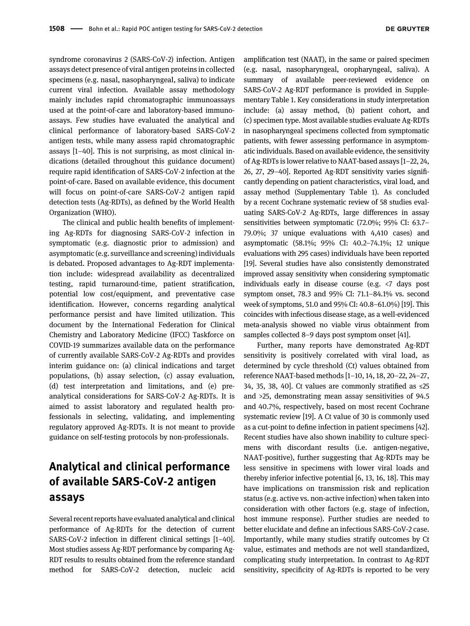syndrome coronavirus 2 (SARS-CoV-2) infection. Antigen assays detect presence of viral antigen proteins in collected specimens (e.g. nasal, nasopharyngeal, saliva) to indicate current viral infection. Available assay methodology mainly includes rapid chromatographic immunoassays used at the point-of-care and laboratory-based immunoassays. Few studies have evaluated the analytical and clinical performance of laboratory-based SARS-CoV-2 antigen tests, while many assess rapid chromatographic assays [1–[40\]](#page-6-0). This is not surprising, as most clinical indications (detailed throughout this guidance document) require rapid identification of SARS-CoV-2 infection at the point-of-care. Based on available evidence, this document will focus on point-of-care SARS-CoV-2 antigen rapid detection tests (Ag-RDTs), as defined by the World Health Organization (WHO).

The clinical and public health benefits of implementing Ag-RDTs for diagnosing SARS-CoV-2 infection in symptomatic (e.g. diagnostic prior to admission) and asymptomatic (e.g. surveillance and screening) individuals is debated. Proposed advantages to Ag-RDT implementation include: widespread availability as decentralized testing, rapid turnaround-time, patient stratification, potential low cost/equipment, and preventative case identification. However, concerns regarding analytical performance persist and have limited utilization. This document by the International Federation for Clinical Chemistry and Laboratory Medicine (IFCC) Taskforce on COVID-19 summarizes available data on the performance of currently available SARS-CoV-2 Ag-RDTs and provides interim guidance on: (a) clinical indications and target populations, (b) assay selection, (c) assay evaluation, (d) test interpretation and limitations, and (e) preanalytical considerations for SARS-CoV-2 Ag-RDTs. It is aimed to assist laboratory and regulated health professionals in selecting, validating, and implementing regulatory approved Ag-RDTs. It is not meant to provide guidance on self-testing protocols by non-professionals.

## <span id="page-1-0"></span>Analytical and clinical performance of available SARS-CoV-2 antigen assays

Several recent reports have evaluated analytical and clinical performance of Ag-RDTs for the detection of current SARS-CoV-2 infection in different clinical settings [1–[40](#page-6-0)]. Most studies assess Ag-RDT performance by comparing Ag-RDT results to results obtained from the reference standard method for SARS-CoV-2 detection, nucleic acid amplification test (NAAT), in the same or paired specimen (e.g. nasal, nasopharyngeal, oropharyngeal, saliva). A summary of available peer-reviewed evidence on SARS-CoV-2 Ag-RDT performance is provided in [Supple](#page-0-0)[mentary Table 1](#page-0-0). Key considerations in study interpretation include: (a) assay method, (b) patient cohort, and (c) specimen type. Most available studies evaluate Ag-RDTs in nasopharyngeal specimens collected from symptomatic patients, with fewer assessing performance in asymptomatic individuals. Based on available evidence, the sensitivity of Ag-RDTs is lower relative to NAAT-based assays [1–[22, 24,](#page-6-0) [26, 27, 29](#page-6-0)–40]. Reported Ag-RDT sensitivity varies significantly depending on patient characteristics, viral load, and assay method [\(Supplementary Table 1](#page-0-0)). As concluded by a recent Cochrane systematic review of 58 studies evaluating SARS-CoV-2 Ag-RDTs, large differences in assay sensitivities between symptomatic (72.0%; 95% CI: 63.7– 79.0%; 37 unique evaluations with 4,410 cases) and asymptomatic (58.1%; 95% CI: 40.2–74.1%; 12 unique evaluations with 295 cases) individuals have been reported [[19](#page-7-0)]. Several studies have also consistently demonstrated improved assay sensitivity when considering symptomatic individuals early in disease course (e.g. <7 days post symptom onset, 78.3 and 95% CI: 71.1–84.1% vs. second week of symptoms, 51.0 and 95% CI: 40.8–61.0%) [\[19\]](#page-7-0). This coincides with infectious disease stage, as a well-evidenced meta-analysis showed no viable virus obtainment from samples collected 8–9 days post symptom onset [[41](#page-8-0)].

Further, many reports have demonstrated Ag-RDT sensitivity is positively correlated with viral load, as determined by cycle threshold (Ct) values obtained from reference NAAT-based methods [1–[10, 14, 18, 20](#page-6-0)–22, 24–27, [34, 35, 38, 40](#page-6-0)]. Ct values are commonly stratified as ≤25 and >25, demonstrating mean assay sensitivities of 94.5 and 40.7%, respectively, based on most recent Cochrane systematic review [\[19](#page-7-0)]. A Ct value of 30 is commonly used as a cut-point to define infection in patient specimens [[42\]](#page-8-1). Recent studies have also shown inability to culture specimens with discordant results (i.e. antigen-negative, NAAT-positive), further suggesting that Ag-RDTs may be less sensitive in specimens with lower viral loads and thereby inferior infective potential [\[6, 13, 16, 18\]](#page-6-1). This may have implications on transmission risk and replication status (e.g. active vs. non-active infection) when taken into consideration with other factors (e.g. stage of infection, host immune response). Further studies are needed to better elucidate and define an infectious SARS-CoV-2 case. Importantly, while many studies stratify outcomes by Ct value, estimates and methods are not well standardized, complicating study interpretation. In contrast to Ag-RDT sensitivity, specificity of Ag-RDTs is reported to be very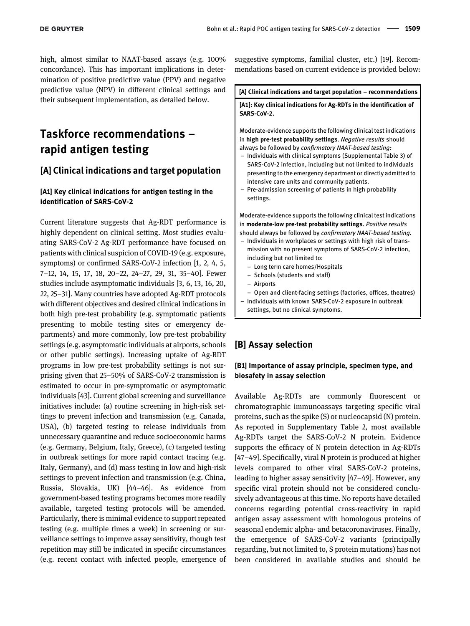high, almost similar to NAAT-based assays (e.g. 100% concordance). This has important implications in determination of positive predictive value (PPV) and negative predictive value (NPV) in different clinical settings and their subsequent implementation, as detailed below.

## <span id="page-2-0"></span>Taskforce recommendations – rapid antigen testing

## [A] Clinical indications and target population

### [A1] Key clinical indications for antigen testing in the identification of SARS-CoV-2

Current literature suggests that Ag-RDT performance is highly dependent on clinical setting. Most studies evaluating SARS-CoV-2 Ag-RDT performance have focused on patients with clinical suspicion of COVID-19 (e.g. exposure, symptoms) or confirmed SARS-CoV-2 infection [\[1, 2, 4, 5,](#page-6-0) 7–[12, 14, 15, 17, 18, 20](#page-6-0)–22, 24–27, 29, 31, 35–40]. Fewer studies include asymptomatic individuals [\[3, 6, 13, 16, 20,](#page-6-2) [22, 25](#page-6-2)–31]. Many countries have adopted Ag-RDT protocols with different objectives and desired clinical indications in both high pre-test probability (e.g. symptomatic patients presenting to mobile testing sites or emergency departments) and more commonly, low pre-test probability settings (e.g. asymptomatic individuals at airports, schools or other public settings). Increasing uptake of Ag-RDT programs in low pre-test probability settings is not surprising given that 25–50% of SARS-CoV-2 transmission is estimated to occur in pre-symptomatic or asymptomatic individuals [[43](#page-8-2)]. Current global screening and surveillance initiatives include: (a) routine screening in high-risk settings to prevent infection and transmission (e.g. Canada, USA), (b) targeted testing to release individuals from unnecessary quarantine and reduce socioeconomic harms (e.g. Germany, Belgium, Italy, Greece), (c) targeted testing in outbreak settings for more rapid contact tracing (e.g. Italy, Germany), and (d) mass testing in low and high-risk settings to prevent infection and transmission (e.g. China, Russia, Slovakia, UK) [44–[46\]](#page-8-3). As evidence from government-based testing programs becomes more readily available, targeted testing protocols will be amended. Particularly, there is minimal evidence to support repeated testing (e.g. multiple times a week) in screening or surveillance settings to improve assay sensitivity, though test repetition may still be indicated in specific circumstances (e.g. recent contact with infected people, emergence of suggestive symptoms, familial cluster, etc.) [[19\]](#page-7-0). Recommendations based on current evidence is provided below:

[A] Clinical indications and target population – recommendations [A1]: Key clinical indications for Ag-RDTs in the identification of SARS-CoV-2. Moderate-evidence supports the following clinical test indications in high pre-test probability settings. Negative results should always be followed by confirmatory NAAT-based testing: – Individuals with clinical symptoms [\(Supplemental Table 3](#page-2-0)) of SARS-CoV-2 infection, including but not limited to individuals presenting to the emergency department or directly admitted to intensive care units and community patients. – Pre-admission screening of patients in high probability settings. Moderate-evidence supports the following clinical test indications in moderate-low pre-test probability settings. Positive results should always be followed by confirmatory NAAT-based testing. – Individuals in workplaces or settings with high risk of transmission with no present symptoms of SARS-CoV-2 infection, including but not limited to: – Long term care homes/Hospitals – Schools (students and staff) – Airports – Open and client-facing settings (factories, offices, theatres) – Individuals with known SARS-CoV-2 exposure in outbreak settings, but no clinical symptoms.

## [B] Assay selection

### [B1] Importance of assay principle, specimen type, and biosafety in assay selection

Available Ag-RDTs are commonly fluorescent or chromatographic immunoassays targeting specific viral proteins, such as the spike (S) or nucleocapsid (N) protein. As reported in [Supplementary Table 2](#page-1-0), most available Ag-RDTs target the SARS-CoV-2 N protein. Evidence supports the efficacy of N protein detection in Ag-RDTs [47–[49\]](#page-8-4). Specifically, viral N protein is produced at higher levels compared to other viral SARS-CoV-2 proteins, leading to higher assay sensitivity [47–[49\]](#page-8-4). However, any specific viral protein should not be considered conclusively advantageous at this time. No reports have detailed concerns regarding potential cross-reactivity in rapid antigen assay assessment with homologous proteins of seasonal endemic alpha- and betacoronaviruses. Finally, the emergence of SARS-CoV-2 variants (principally regarding, but not limited to, S protein mutations) has not been considered in available studies and should be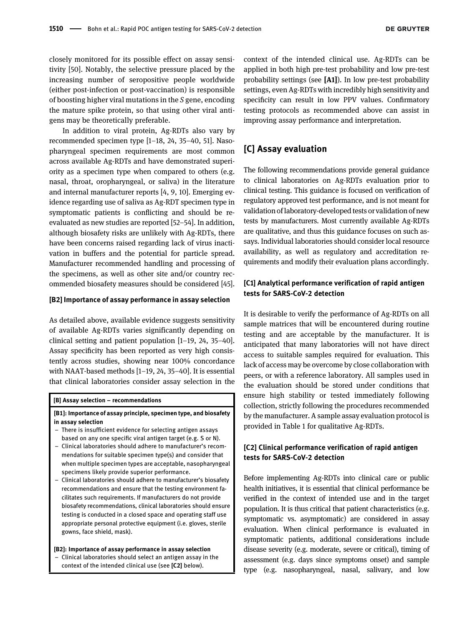closely monitored for its possible effect on assay sensitivity [[50\]](#page-8-5). Notably, the selective pressure placed by the increasing number of seropositive people worldwide (either post-infection or post-vaccination) is responsible of boosting higher viral mutations in the S gene, encoding the mature spike protein, so that using other viral antigens may be theoretically preferable.

In addition to viral protein, Ag-RDTs also vary by recommended specimen type [1–[18, 24, 35](#page-6-0)–40, 51]. Nasopharyngeal specimen requirements are most common across available Ag-RDTs and have demonstrated superiority as a specimen type when compared to others (e.g. nasal, throat, oropharyngeal, or saliva) in the literature and internal manufacturer reports [\[4, 9, 10](#page-6-3)]. Emerging evidence regarding use of saliva as Ag-RDT specimen type in symptomatic patients is conflicting and should be reevaluated as new studies are reported [52–[54\]](#page-8-6). In addition, although biosafety risks are unlikely with Ag-RDTs, there have been concerns raised regarding lack of virus inactivation in buffers and the potential for particle spread. Manufacturer recommended handling and processing of the specimens, as well as other site and/or country recommended biosafety measures should be considered [[45](#page-8-7)].

#### [B2] Importance of assay performance in assay selection

As detailed above, available evidence suggests sensitivity of available Ag-RDTs varies significantly depending on clinical setting and patient population [1–[19, 24, 35](#page-6-0)–40]. Assay specificity has been reported as very high consistently across studies, showing near 100% concordance with NAAT-based methods [1–[19, 24, 35](#page-6-0)–40]. It is essential that clinical laboratories consider assay selection in the

#### [B] Assay selection – recommendations

#### [B1]: Importance of assay principle, specimen type, and biosafety in assay selection

- There is insufficient evidence for selecting antigen assays based on any one specific viral antigen target (e.g. S or N).
- Clinical laboratories should adhere to manufacturer's recommendations for suitable specimen type(s) and consider that when multiple specimen types are acceptable, nasopharyngeal specimens likely provide superior performance.
- Clinical laboratories should adhere to manufacturer's biosafety recommendations and ensure that the testing environment facilitates such requirements. If manufacturers do not provide biosafety recommendations, clinical laboratories should ensure testing is conducted in a closed space and operating staff use appropriate personal protective equipment (i.e. gloves, sterile gowns, face shield, mask).

[B2]: Importance of assay performance in assay selection – Clinical laboratories should select an antigen assay in the context of the intended clinical use (see [C2] below).

context of the intended clinical use. Ag-RDTs can be applied in both high pre-test probability and low pre-test probability settings (see [A1]). In low pre-test probability settings, even Ag-RDTs with incredibly high sensitivity and specificity can result in low PPV values. Confirmatory testing protocols as recommended above can assist in improving assay performance and interpretation.

## [C] Assay evaluation

The following recommendations provide general guidance to clinical laboratories on Ag-RDTs evaluation prior to clinical testing. This guidance is focused on verification of regulatory approved test performance, and is not meant for validation oflaboratory-developed tests or validation of new tests by manufacturers. Most currently available Ag-RDTs are qualitative, and thus this guidance focuses on such assays. Individual laboratories should consider local resource availability, as well as regulatory and accreditation requirements and modify their evaluation plans accordingly.

### [C1] Analytical performance verification of rapid antigen tests for SARS-CoV-2 detection

It is desirable to verify the performance of Ag-RDTs on all sample matrices that will be encountered during routine testing and are acceptable by the manufacturer. It is anticipated that many laboratories will not have direct access to suitable samples required for evaluation. This lack of access may be overcome by close collaboration with peers, or with a reference laboratory. All samples used in the evaluation should be stored under conditions that ensure high stability or tested immediately following collection, strictly following the procedures recommended by the manufacturer. A sample assay evaluation protocol is provided in [Table 1](#page-4-0) for qualitative Ag-RDTs.

## [C2] Clinical performance verification of rapid antigen tests for SARS-CoV-2 detection

Before implementing Ag-RDTs into clinical care or public health initiatives, it is essential that clinical performance be verified in the context of intended use and in the target population. It is thus critical that patient characteristics (e.g. symptomatic vs. asymptomatic) are considered in assay evaluation. When clinical performance is evaluated in symptomatic patients, additional considerations include disease severity (e.g. moderate, severe or critical), timing of assessment (e.g. days since symptoms onset) and sample type (e.g. nasopharyngeal, nasal, salivary, and low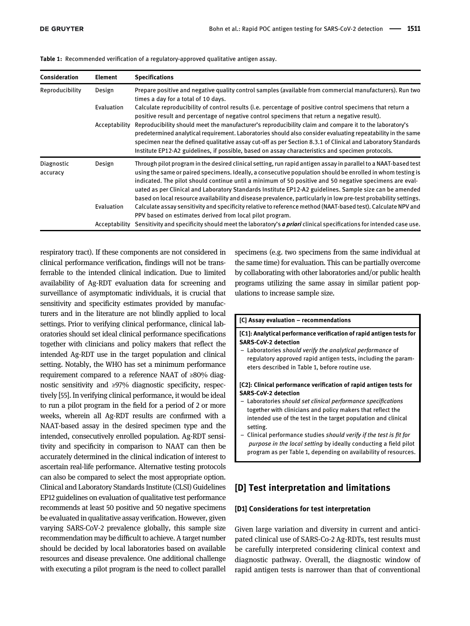<span id="page-4-0"></span>

| Consideration          | <b>Element</b> | <b>Specifications</b>                                                                                                                                                                                                                                                                                                                                                                                                                                                                                                                                                   |
|------------------------|----------------|-------------------------------------------------------------------------------------------------------------------------------------------------------------------------------------------------------------------------------------------------------------------------------------------------------------------------------------------------------------------------------------------------------------------------------------------------------------------------------------------------------------------------------------------------------------------------|
| Reproducibility        | Design         | Prepare positive and negative quality control samples (available from commercial manufacturers). Run two<br>times a day for a total of 10 days.                                                                                                                                                                                                                                                                                                                                                                                                                         |
|                        | Evaluation     | Calculate reproducibility of control results (i.e. percentage of positive control specimens that return a<br>positive result and percentage of negative control specimens that return a negative result).                                                                                                                                                                                                                                                                                                                                                               |
|                        | Acceptability  | Reproducibility should meet the manufacturer's reproducibility claim and compare it to the laboratory's<br>predetermined analytical requirement. Laboratories should also consider evaluating repeatability in the same<br>specimen near the defined qualitative assay cut-off as per Section 8.3.1 of Clinical and Laboratory Standards<br>Institute EP12-A2 guidelines, if possible, based on assay characteristics and specimen protocols.                                                                                                                           |
| Diagnostic<br>accuracy | Design         | Through pilot program in the desired clinical setting, run rapid antigen assay in parallel to a NAAT-based test<br>using the same or paired specimens. Ideally, a consecutive population should be enrolled in whom testing is<br>indicated. The pilot should continue until a minimum of 50 positive and 50 negative specimens are eval-<br>uated as per Clinical and Laboratory Standards Institute EP12-A2 guidelines. Sample size can be amended<br>based on local resource availability and disease prevalence, particularly in low pre-test probability settings. |
|                        | Evaluation     | Calculate assay sensitivity and specificity relative to reference method (NAAT-based test). Calculate NPV and<br>PPV based on estimates derived from local pilot program.                                                                                                                                                                                                                                                                                                                                                                                               |
|                        | Acceptability  | Sensitivity and specificity should meet the laboratory's <b>a priori</b> clinical specifications for intended case use.                                                                                                                                                                                                                                                                                                                                                                                                                                                 |

respiratory tract). If these components are not considered in clinical performance verification, findings will not be transferrable to the intended clinical indication. Due to limited availability of Ag-RDT evaluation data for screening and surveillance of asymptomatic individuals, it is crucial that sensitivity and specificity estimates provided by manufacturers and in the literature are not blindly applied to local settings. Prior to verifying clinical performance, clinical laboratories should set ideal clinical performance specifications together with clinicians and policy makers that reflect the intended Ag-RDT use in the target population and clinical setting. Notably, the WHO has set a minimum performance requirement compared to a reference NAAT of ≥80% diagnostic sensitivity and ≥97% diagnostic specificity, respectively [[55](#page-8-8)]. In verifying clinical performance, it would be ideal to run a pilot program in the field for a period of 2 or more weeks, wherein all Ag-RDT results are confirmed with a NAAT-based assay in the desired specimen type and the intended, consecutively enrolled population. Ag-RDT sensitivity and specificity in comparison to NAAT can then be accurately determined in the clinical indication of interest to ascertain real-life performance. Alternative testing protocols can also be compared to select the most appropriate option. Clinical and Laboratory Standards Institute (CLSI) Guidelines EP12 guidelines on evaluation of qualitative test performance recommends at least 50 positive and 50 negative specimens be evaluated in qualitative assay verification. However, given varying SARS-CoV-2 prevalence globally, this sample size recommendation may be difficult to achieve. A target number should be decided by local laboratories based on available resources and disease prevalence. One additional challenge with executing a pilot program is the need to collect parallel specimens (e.g. two specimens from the same individual at the same time) for evaluation. This can be partially overcome by collaborating with other laboratories and/or public health programs utilizing the same assay in similar patient populations to increase sample size.

#### [C] Assay evaluation – recommendations

### [C1]: Analytical performance verification of rapid antigen tests for SARS-CoV-2 detection

Laboratories should verify the analytical performance of regulatory approved rapid antigen tests, including the parameters described in [Table 1](#page-4-0), before routine use.

#### [C2]: Clinical performance verification of rapid antigen tests for SARS-CoV-2 detection

- Laboratories should set clinical performance specifications together with clinicians and policy makers that reflect the intended use of the test in the target population and clinical setting.
- Clinical performance studies should verify if the test is fit for purpose in the local setting by ideally conducting a field pilot program as per [Table 1](#page-4-0), depending on availability of resources.

## [D] Test interpretation and limitations

#### [D1] Considerations for test interpretation

Given large variation and diversity in current and anticipated clinical use of SARS-Co-2 Ag-RDTs, test results must be carefully interpreted considering clinical context and diagnostic pathway. Overall, the diagnostic window of rapid antigen tests is narrower than that of conventional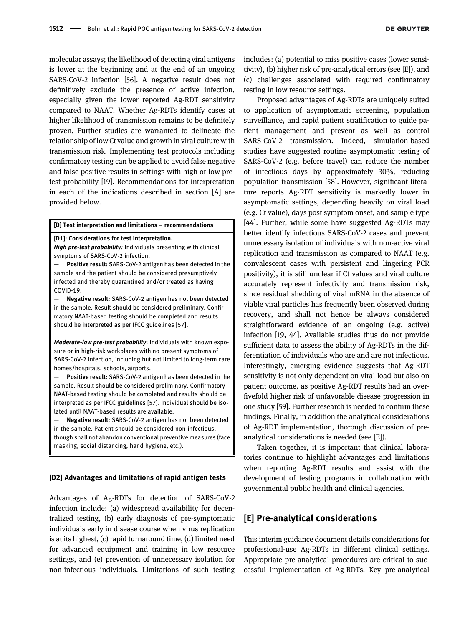molecular assays; the likelihood of detecting viral antigens is lower at the beginning and at the end of an ongoing SARS-CoV-2 infection [\[56\]](#page-8-9). A negative result does not definitively exclude the presence of active infection, especially given the lower reported Ag-RDT sensitivity compared to NAAT. Whether Ag-RDTs identify cases at higher likelihood of transmission remains to be definitely proven. Further studies are warranted to delineate the relationship of low Ct value and growth in viral culture with transmission risk. Implementing test protocols including confirmatory testing can be applied to avoid false negative and false positive results in settings with high or low pretest probability [[19\]](#page-7-0). Recommendations for interpretation in each of the indications described in section [A] are provided below.

#### [D] Test interpretation and limitations – recommendations

#### [D1]: Considerations for test interpretation.

High pre-test probability: Individuals presenting with clinical symptoms of SARS-CoV-2 infection.

Positive result: SARS-CoV-2 antigen has been detected in the sample and the patient should be considered presumptively infected and thereby quarantined and/or treated as having  $COVID-19.$ 

Negative result: SARS-CoV-2 antigen has not been detected in the sample. Result should be considered preliminary. Confirmatory NAAT-based testing should be completed and results should be interpreted as per IFCC guidelines [57].

Moderate-low pre-test probability: Individuals with known exposure or in high-risk workplaces with no present symptoms of SARS-CoV-2 infection, including but not limited to long-term care homes/hospitals, schools, airports.

Positive result: SARS-CoV-2 antigen has been detected in the sample. Result should be considered preliminary. Confirmatory NAAT-based testing should be completed and results should be interpreted as per IFCC guidelines [57]. Individual should be isolated until NAAT-based results are available.

Negative result: SARS-CoV-2 antigen has not been detected in the sample. Patient should be considered non-infectious, though shall not abandon conventional preventive measures (face masking, social distancing, hand hygiene, etc.).

#### [D2] Advantages and limitations of rapid antigen tests

Advantages of Ag-RDTs for detection of SARS-CoV-2 infection include: (a) widespread availability for decentralized testing, (b) early diagnosis of pre-symptomatic individuals early in disease course when virus replication is at its highest, (c) rapid turnaround time, (d) limited need for advanced equipment and training in low resource settings, and (e) prevention of unnecessary isolation for non-infectious individuals. Limitations of such testing

includes: (a) potential to miss positive cases (lower sensitivity), (b) higher risk of pre-analytical errors (see [E]), and (c) challenges associated with required confirmatory testing in low resource settings.

Proposed advantages of Ag-RDTs are uniquely suited to application of asymptomatic screening, population surveillance, and rapid patient stratification to guide patient management and prevent as well as control SARS-CoV-2 transmission. Indeed, simulation-based studies have suggested routine asymptomatic testing of SARS-CoV-2 (e.g. before travel) can reduce the number of infectious days by approximately 30%, reducing population transmission [[58](#page-8-10)]. However, significant literature reports Ag-RDT sensitivity is markedly lower in asymptomatic settings, depending heavily on viral load (e.g. Ct value), days post symptom onset, and sample type [[44\]](#page-8-3). Further, while some have suggested Ag-RDTs may better identify infectious SARS-CoV-2 cases and prevent unnecessary isolation of individuals with non-active viral replication and transmission as compared to NAAT (e.g. convalescent cases with persistent and lingering PCR positivity), it is still unclear if Ct values and viral culture accurately represent infectivity and transmission risk, since residual shedding of viral mRNA in the absence of viable viral particles has frequently been observed during recovery, and shall not hence be always considered straightforward evidence of an ongoing (e.g. active) infection [\[19, 44\]](#page-7-0). Available studies thus do not provide sufficient data to assess the ability of Ag-RDTs in the differentiation of individuals who are and are not infectious. Interestingly, emerging evidence suggests that Ag-RDT sensitivity is not only dependent on viral load but also on patient outcome, as positive Ag-RDT results had an overfivefold higher risk of unfavorable disease progression in one study [\[59\]](#page-8-11). Further research is needed to confirm these findings. Finally, in addition the analytical considerations of Ag-RDT implementation, thorough discussion of preanalytical considerations is needed (see [E]).

Taken together, it is important that clinical laboratories continue to highlight advantages and limitations when reporting Ag-RDT results and assist with the development of testing programs in collaboration with governmental public health and clinical agencies.

### [E] Pre-analytical considerations

This interim guidance document details considerations for professional-use Ag-RDTs in different clinical settings. Appropriate pre-analytical procedures are critical to successful implementation of Ag-RDTs. Key pre-analytical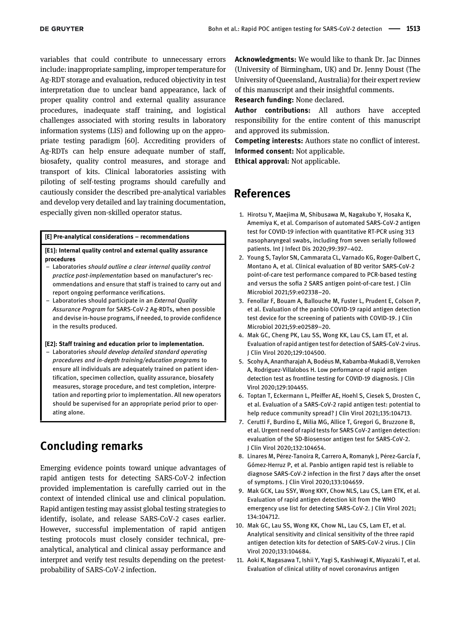variables that could contribute to unnecessary errors include: inappropriate sampling, improper temperature for Ag-RDT storage and evaluation, reduced objectivity in test interpretation due to unclear band appearance, lack of proper quality control and external quality assurance procedures, inadequate staff training, and logistical challenges associated with storing results in laboratory information systems (LIS) and following up on the appropriate testing paradigm [[60](#page-8-13)]. Accrediting providers of Ag-RDTs can help ensure adequate number of staff, biosafety, quality control measures, and storage and transport of kits. Clinical laboratories assisting with piloting of self-testing programs should carefully and cautiously consider the described pre-analytical variables and develop very detailed and lay training documentation, especially given non-skilled operator status.

[E] Pre-analytical considerations – recommendations

[E1]: Internal quality control and external quality assurance procedures

- Laboratories should outline a clear internal quality control practice post-implementation based on manufacturer's recommendations and ensure that staff is trained to carry out and report ongoing performance verifications.
- Laboratories should participate in an External Quality Assurance Program for SARS-CoV-2 Ag-RDTs, when possible and devise in-house programs, if needed, to provide confidence in the results produced.

#### [E2]: Staff training and education prior to implementation.

– Laboratories should develop detailed standard operating procedures and in-depth training/education programs to ensure all individuals are adequately trained on patient identification, specimen collection, quality assurance, biosafety measures, storage procedure, and test completion, interpretation and reporting prior to implementation. All new operators should be supervised for an appropriate period prior to operating alone.

## Concluding remarks

Emerging evidence points toward unique advantages of rapid antigen tests for detecting SARS-CoV-2 infection provided implementation is carefully carried out in the context of intended clinical use and clinical population. Rapid antigen testing may assist global testing strategies to identify, isolate, and release SARS-CoV-2 cases earlier. However, successful implementation of rapid antigen testing protocols must closely consider technical, preanalytical, analytical and clinical assay performance and interpret and verify test results depending on the pretestprobability of SARS-CoV-2 infection.

Acknowledgments: We would like to thank Dr. Jac Dinnes (University of Birmingham, UK) and Dr. Jenny Doust (The University of Queensland, Australia) for their expert review of this manuscript and their insightful comments.

Research funding: None declared.

Author contributions: All authors have accepted responsibility for the entire content of this manuscript and approved its submission.

Competing interests: Authors state no conflict of interest. Informed consent: Not applicable.

Ethical approval: Not applicable.

## References

- <span id="page-6-0"></span>1. Hirotsu Y, Maejima M, Shibusawa M, Nagakubo Y, Hosaka K, Amemiya K, et al. Comparison of automated SARS-CoV-2 antigen test for COVID-19 infection with quantitative RT-PCR using 313 nasopharyngeal swabs, including from seven serially followed patients. Int J Infect Dis 2020;99:397–402.
- 2. Young S, Taylor SN, Cammarata CL, Varnado KG, Roger-Dalbert C, Montano A, et al. Clinical evaluation of BD veritor SARS-CoV-2 point-of-care test performance compared to PCR-based testing and versus the sofia 2 SARS antigen point-of-care test. J Clin Microbiol 2021;59:e02338–20.
- <span id="page-6-2"></span>3. Fenollar F, Bouam A, Ballouche M, Fuster L, Prudent E, Colson P, et al. Evaluation of the panbio COVID-19 rapid antigen detection test device for the screening of patients with COVID-19. J Clin Microbiol 2021;59:e02589–20.
- <span id="page-6-3"></span>4. Mak GC, Cheng PK, Lau SS, Wong KK, Lau CS, Lam ET, et al. Evaluation of rapid antigen test for detection of SARS-CoV-2 virus. J Clin Virol 2020;129:104500.
- 5. Scohy A, Anantharajah A, Bodeus M, Kabamba-Mukadi B, Verroken ´ A, Rodriguez-Villalobos H. Low performance of rapid antigen detection test as frontline testing for COVID-19 diagnosis. J Clin Virol 2020;129:104455.
- <span id="page-6-1"></span>6. Toptan T, Eckermann L, Pfeiffer AE, Hoehl S, Ciesek S, Drosten C, et al. Evaluation of a SARS-CoV-2 rapid antigen test: potential to help reduce community spread? J Clin Virol 2021;135:104713.
- 7. Cerutti F, Burdino E, Milia MG, Allice T, Gregori G, Bruzzone B, et al. Urgent need of rapid tests for SARS CoV-2 antigen detection: evaluation of the SD-Biosensor antigen test for SARS-CoV-2. J Clin Virol 2020;132:104654.
- 8. Linares M, Pérez-Tanoira R, Carrero A, Romanyk J, Pérez-García F, Gómez-Herruz P, et al. Panbio antigen rapid test is reliable to diagnose SARS-CoV-2 infection in the first 7 days after the onset of symptoms. J Clin Virol 2020;133:104659.
- 9. Mak GCK, Lau SSY, Wong KKY, Chow NLS, Lau CS, Lam ETK, et al. Evaluation of rapid antigen detection kit from the WHO emergency use list for detecting SARS-CoV-2. J Clin Virol 2021; 134:104712.
- 10. Mak GC, Lau SS, Wong KK, Chow NL, Lau CS, Lam ET, et al. Analytical sensitivity and clinical sensitivity of the three rapid antigen detection kits for detection of SARS-CoV-2 virus. J Clin Virol 2020;133:104684.
- 11. Aoki K, Nagasawa T, Ishii Y, Yagi S, Kashiwagi K, Miyazaki T, et al. Evaluation of clinical utility of novel coronavirus antigen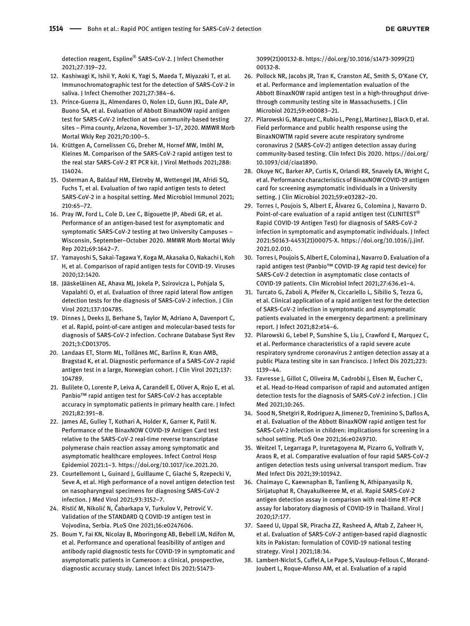detection reagent, Espline® SARS-CoV-2. J Infect Chemother 2021;27:319–22.

- 12. Kashiwagi K, Ishii Y, Aoki K, Yagi S, Maeda T, Miyazaki T, et al. Immunochromatographic test for the detection of SARS-CoV-2 in saliva. J Infect Chemother 2021;27:384–6.
- 13. Prince-Guerra JL, Almendares O, Nolen LD, Gunn JKL, Dale AP, Buono SA, et al. Evaluation of Abbott BinaxNOW rapid antigen test for SARS-CoV-2 infection at two community-based testing sites – Pima county, Arizona, November 3–17, 2020. MMWR Morb Mortal Wkly Rep 2021;70:100–5.
- 14. Krüttgen A, Cornelissen CG, Dreher M, Hornef MW, Imöhl M, Kleines M. Comparison of the SARS-CoV-2 rapid antigen test to the real star SARS-CoV-2 RT PCR kit. J Virol Methods 2021;288: 114024.
- 15. Osterman A, Baldauf HM, Eletreby M, Wettengel JM, Afridi SQ, Fuchs T, et al. Evaluation of two rapid antigen tests to detect SARS-CoV-2 in a hospital setting. Med Microbiol Immunol 2021; 210:65–72.
- 16. Pray IW, Ford L, Cole D, Lee C, Bigouette JP, Abedi GR, et al. Performance of an antigen-based test for asymptomatic and symptomatic SARS-CoV-2 testing at two University Campuses – Wisconsin, September–October 2020. MMWR Morb Mortal Wkly Rep 2021;69:1642–7.
- 17. Yamayoshi S, Sakai-Tagawa Y, Koga M, Akasaka O, Nakachi I, Koh H, et al. Comparison of rapid antigen tests for COVID-19. Viruses 2020;12:1420.
- 18. Jääskeläinen AE, Ahava MJ, Jokela P, Szirovicza L, Pohjala S, Vapalahti O, et al. Evaluation of three rapid lateral flow antigen detection tests for the diagnosis of SARS-CoV-2 infection. J Clin Virol 2021;137:104785.
- <span id="page-7-0"></span>19. Dinnes J, Deeks JJ, Berhane S, Taylor M, Adriano A, Davenport C, et al. Rapid, point-of-care antigen and molecular-based tests for diagnosis of SARS-CoV-2 infection. Cochrane Database Syst Rev 2021;3:CD013705.
- 20. Landaas ET, Storm ML, Tollånes MC, Barlinn R, Kran AMB, Bragstad K, et al. Diagnostic performance of a SARS-CoV-2 rapid antigen test in a large, Norwegian cohort. J Clin Virol 2021;137: 104789.
- 21. Bulilete O, Lorente P, Leiva A, Carandell E, Oliver A, Rojo E, et al. Panbio™ rapid antigen test for SARS-CoV-2 has acceptable accuracy in symptomatic patients in primary health care. J Infect 2021;82:391–8.
- 22. James AE, Gulley T, Kothari A, Holder K, Garner K, Patil N. Performance of the BinaxNOW COVID-19 Antigen Card test relative to the SARS-CoV-2 real-time reverse transcriptase polymerase chain reaction assay among symptomatic and asymptomatic healthcare employees. Infect Control Hosp Epidemiol 2021:1–3.<https://doi.org/10.1017/ice.2021.20>.
- 23. Courtellemont L, Guinard J, Guillaume C, Giaché S, Rzepecki V, Seve A, et al. High performance of a novel antigen detection test on nasopharyngeal specimens for diagnosing SARS-CoV-2 infection. J Med Virol 2021;93:3152–7.
- 24. Ristić M, Nikolić N, Čabarkapa V, Turkulov V, Petrović V. Validation of the STANDARD Q COVID-19 antigen test in Vojvodina, Serbia. PLoS One 2021;16:e0247606.
- 25. Boum Y, Fai KN, Nicolay B, Mboringong AB, Bebell LM, Ndifon M, et al. Performance and operational feasibility of antigen and antibody rapid diagnostic tests for COVID-19 in symptomatic and asymptomatic patients in Cameroon: a clinical, prospective, diagnostic accuracy study. Lancet Infect Dis 2021:S1473-

3099(21)00132-8. [https://doi.org/10.1016/s1473-3099\(21\)](https://doi.org/10.1016/s1473-3099(21)00132-8) [00132-8](https://doi.org/10.1016/s1473-3099(21)00132-8).

- 26. Pollock NR, Jacobs JR, Tran K, Cranston AE, Smith S, O'Kane CY, et al. Performance and implementation evaluation of the Abbott BinaxNOW rapid antigen test in a high-throughput drivethrough community testing site in Massachusetts. J Clin Microbiol 2021;59:e00083–21.
- 27. Pilarowski G, Marquez C, Rubio L, Peng J, Martinez J, Black D, et al. Field performance and public health response using the BinaxNOWTM rapid severe acute respiratory syndrome coronavirus 2 (SARS-CoV-2) antigen detection assay during community-based testing. Clin Infect Dis 2020. [https://doi.org/](https://doi.org/10.1093/cid/ciaa1890) [10.1093/cid/ciaa1890](https://doi.org/10.1093/cid/ciaa1890).
- 28. Okoye NC, Barker AP, Curtis K, Orlandi RR, Snavely EA, Wright C, et al. Performance characteristics of BinaxNOW COVID-19 antigen card for screening asymptomatic individuals in a University setting. J Clin Microbiol 2021;59:e03282–20.
- 29. Torres I, Poujois S, Albert E, Álvarez G, Colomina J, Navarro D. Point-of-care evaluation of a rapid antigen test (CLINITEST<sup>®</sup> Rapid COVID-19 Antigen Test) for diagnosis of SARS-CoV-2 infection in symptomatic and asymptomatic individuals. J Infect 2021:S0163-4453(21)00075-X. [https://doi.org/10.1016/j.jinf.](https://doi.org/10.1016/j.jinf.2021.02.010) [2021.02.010](https://doi.org/10.1016/j.jinf.2021.02.010).
- 30. Torres I, Poujois S, Albert E, Colomina J, Navarro D. Evaluation of a rapid antigen test (Panbio™ COVID-19 Ag rapid test device) for SARS-CoV-2 detection in asymptomatic close contacts of COVID-19 patients. Clin Microbiol Infect 2021;27:636.e1–4.
- 31. Turcato G, Zaboli A, Pfeifer N, Ciccariello L, Sibilio S, Tezza G, et al. Clinical application of a rapid antigen test for the detection of SARS-CoV-2 infection in symptomatic and asymptomatic patients evaluated in the emergency department: a preliminary report. J Infect 2021;82:e14–6.
- 32. Pilarowski G, Lebel P, Sunshine S, Liu J, Crawford E, Marquez C, et al. Performance characteristics of a rapid severe acute respiratory syndrome coronavirus 2 antigen detection assay at a public Plaza testing site in san Francisco. J Infect Dis 2021;223: 1139–44.
- 33. Favresse J, Gillot C, Oliveira M, Cadrobbi J, Elsen M, Eucher C, et al. Head-to-Head comparison of rapid and automated antigen detection tests for the diagnosis of SARS-CoV-2 infection. J Clin Med 2021;10:265.
- 34. Sood N, Shetgiri R, Rodriguez A, Jimenez D, Treminino S, Daflos A, et al. Evaluation of the Abbott BinaxNOW rapid antigen test for SARS-CoV-2 infection in children: implications for screening in a school setting. PLoS One 2021;16:e0249710.
- 35. Weitzel T, Legarraga P, Iruretagoyena M, Pizarro G, Vollrath V, Araos R, et al. Comparative evaluation of four rapid SARS-CoV-2 antigen detection tests using universal transport medium. Trav Med Infect Dis 2021;39:101942.
- 36. Chaimayo C, Kaewnaphan B, Tanlieng N, Athipanyasilp N, Sirijatuphat R, Chayakulkeeree M, et al. Rapid SARS-CoV-2 antigen detection assay in comparison with real-time RT-PCR assay for laboratory diagnosis of COVID-19 in Thailand. Virol J 2020;17:177.
- 37. Saeed U, Uppal SR, Piracha ZZ, Rasheed A, Aftab Z, Zaheer H, et al. Evaluation of SARS-CoV-2 antigen-based rapid diagnostic kits in Pakistan: formulation of COVID-19 national testing strategy. Virol J 2021;18:34.
- 38. Lambert-Niclot S, Cuffel A, Le Pape S, Vauloup-Fellous C, Morand-Joubert L, Roque-Afonso AM, et al. Evaluation of a rapid